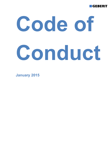

# **Code of Conduct**

**January 2015**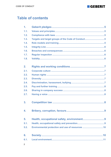

# **Table of contents**

| $\mathbf 1$ .  |                                                   |
|----------------|---------------------------------------------------|
| 1.1.           |                                                   |
| 1.2.           |                                                   |
| 1.3.           | Targets and target groups of the Code of Conduct5 |
| 1.4.           |                                                   |
| 1.5.           |                                                   |
| 1.6.           |                                                   |
| 1.7.           |                                                   |
| 1.8.           |                                                   |
|                |                                                   |
| 2.             |                                                   |
| 2.1.           |                                                   |
| 2.2.           |                                                   |
| 2.3.           |                                                   |
| 2.4.           |                                                   |
| 2.5.           |                                                   |
| 2.6.           |                                                   |
| 2.7.           |                                                   |
|                |                                                   |
| 3.             |                                                   |
|                |                                                   |
| 4.             |                                                   |
|                |                                                   |
| 5.             |                                                   |
| 5.1.           |                                                   |
| 5.2.           | Environmental protection and use of resources 10  |
|                |                                                   |
| 6.             |                                                   |
| 6.1.           |                                                   |
| $\overline{2}$ |                                                   |
|                |                                                   |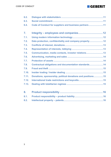# **GEBERIT**

| 6.2.           |                                                             |
|----------------|-------------------------------------------------------------|
| 6.3.           |                                                             |
| 6.4.           | Code of Conduct for suppliers and business partners11       |
|                |                                                             |
| $\mathbf{7}$ . |                                                             |
| 7.1.           |                                                             |
| 7.2.           | Data protection, confidentiality and company property12     |
| 7.3.           |                                                             |
| 7.4.           |                                                             |
| 7.5.           | Communication, media contacts, investor relations13         |
| 7.6.           |                                                             |
| 7.7.           |                                                             |
| 7.8.           | Contractual obligations and documentation standards14       |
| 7.9.           |                                                             |
| 7.10.          |                                                             |
| 7.11.          | Donations, sponsorship, political donations and positions15 |
| 7.12.          |                                                             |
| 7.13.          |                                                             |
|                |                                                             |
| 8.             |                                                             |
| 8.1.           |                                                             |

**8.2. Intellectual property – patents ............................................................... 16**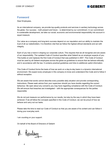

# **Foreword**

Dear Employees,

As an international company, we provide top-quality products and services in sanitary technology across the globe. Our success – both present and future – is determined by our commitment. In our commitment to sustainable development, we take our social, economic and environmental responsibility into account in equal measure.

Our value as a company and long-term success depend on our reputation and our ability to maintain the trust of all our stakeholders. It is therefore vital that we follow the highest ethical standards and act with integrity.

Each of you has a hand in shaping our corporate culture. This requires that we all recognise and are aware of our responsibility. The updated Code of Conduct specifies what Geberit as an employer expects of you. This builds on and replaces the first Code of Conduct that was published in 2007. This Code of Conduct must be used by all Geberit employees across the globe as guidelines to ensure that we behave ethically and in accordance with the law. It contains practical guidelines and links to additional useful information.

This Code of Conduct forms the basis of how we work on a day-to-day basis in a dynamic international environment. We expect every employee in this company to know and understand this Code and to follow it without exception.

We are aware that words cannot describe every possible daily situation and provide corresponding instructions. Please seek advice from your supervisor should you have doubts regarding the correct behaviour. Be open about any concerns you may have regarding compliance with the Code of Conduct. We will ensure that breaches are investigated – with the appropriate consequences for the parties responsible.

We do not just measure our performance by our results, but also by the way in which they have been achieved. If we all follow the concepts specified in this Code of Conduct, we can be proud of how we behave and carry out our tasks.

Please take the time to read our Code of Conduct so that you are aware of its content and can follow it during your everyday work.

I am counting on your support.

On behalf of the Board of Directors of Geberit

N. Raelwy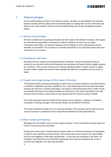

# **1. Geberit pledges**

As the world's leading company in the sanitary industry, we take our responsibility very seriously. Geberit complies with the national and international laws on creating free and fair world trade and strives to be a role model for ethical, environmentally friendly and socially acceptable business activity.

# **1.1. Values and principles**

We have compiled our key guiding principles and core values in the Geberit Compass, which gives our international organisation a framework to follow to achieve our vision and our goals. Transparent information, an intensive dialogue and the integrity of every individual are not just desirable, but essential. The Compass is a concrete expression of our corporate culture and a key component in our success.

# **1.2. Compliance with laws**

We follow all local, national and international laws, directives, norms and standards that are relevant to our economic activity and frequently even go above and beyond what is legally required as a minimum. This not only concerns our business operations within a certain country or region, but also matters outside the country if these significantly affect the competition for the country or region.

## **1.3. Targets and target groups of the Code of Conduct**

The business world is growing increasingly complex and our business decisions are determined by a multitude of legislation and other regulations. As a multi-national group that provides top-quality products and services in sanitary technology, we require a clear behavioural code in order to work successfully with internal and external parties and institutions. This code is described in this fully revised Code of Conduct, which builds on and replaces the first Code of Conduct of 2008.

This Code expresses what the Geberit Group expects as an employer. It applies to all Geberit employees, including managers, the Executive Board and the Board of Directors.

This code is intended to guide us in our everyday activities in the company and to ensure that we conduct business in compliance with our high ethical standards and the applicable law.

# **1.4. Role models and training**

Managers are role models, but so is every single employee. They must therefore always follow our Code of Conduct and act accordingly.

Knowing the correct way to handle ethical concerns relies on continuous training for all employees in order to raise awareness of these issues. This ensures that we are aware of our responsibility and can work together to fulfil these requirements – at any time and anywhere in the world. Our managers must therefore ensure that their employees have read and understood the Code of Conduct and integrate it into their daily activities.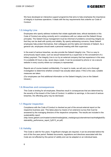

We have developed an interactive support programme that aims to help emphasise the importance of integrity in business operations. It deals with the key requirements that underlie our Code of Conduct.

# **1.5. Integrity Line**

Employees who openly address incidents that violate applicable laws, ethical standards or this Code of Conduct are acting correctly and in compliance with our values and the Geberit Group principles. The Geberit Group management must be informed of problems concerning integrity so that they can be dealt with quickly and reliably. By openly addressing concerns, these Geberit employees help protect themselves, their colleagues and the rights and interests of Geberit. As a general rule, employees should seek a personal meeting with their supervisor.

In the event of serious breaches, we also provide the Geberit Integrity Line. This is a way to anonymously report cases, such as sexual harassment by a supervisor or the concealment of a bribery payment. The Integrity Line is run by an external company that has experience in this area. It is available 24 hours a day, seven days a week. It can be accessed by phone or via a secure website in every country where our company is represented.

Reports are of course treated confidentially. If a report is made, we will carry out a thorough investigation to determine whether a breach has actually taken place. If this is the case, suitable measures are taken.

(Our employees can find additional information on the Geberit Integrity Line on the Geberit Intranet.)

## **1.6. Breaches and consequences**

This Code is binding for all employees. Breaches result in consequences that are determined by the severity of the breach of the Code of Conduct. In addition to warnings, in the event of serious breaches, the offending party may be dismissed.

## **1.7. Regular inspection**

Compliance with the Code of Conduct is checked as part of the annual external report on the respective business year. This takes place by means of an extensive survey that must be answered by the managing directors of the respective companies. The results are included in the sustainability report.

(http://www.geberit.com/master/content/media/global\_media/group/unternehmen/nachhaltigkeit/Su stainability perfomance report fy2013 en.pdf)

## **1.8. Validity**

This Code is valid for five years. If significant changes are required, it can be amended before the end of this five-year period. Related documents, regulations and directives associated with this Code are not affected by this period of validity and can be adapted on an individual basis.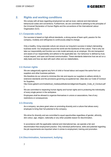

# **2. Rights and working conditions**

We comply with all laws regarding employment as well as local, national and international behavioural codes and conventions. Furthermore, we are committed to adhering to the principles of the Universal Declaration of Human Rights and the conventions of the International Labour Organization (ILO).

# **2.1. Corporate culture**

Our success is based on high ethical standards, a strong sense of team spirit, passion for the company, modesty and willingness to continuously adapt to change.

Only a healthy, living corporate culture can ensure our long-term success in today's demanding business world. Our employees around the world are the backbone of this culture. That is why we take our responsibility and function as a role model seriously as an employer. We are transparent and aware of our responsibility and adhere to the applicable law. Our behaviour is defined by trust, mutual respect, and open and honest communication. These standards determine how we act on a daily basis and how we deal with each other and our stakeholders.

# **2.2. Human rights**

We are categorically against any form of child or forced labour and expect the same from our suppliers and other business partners.

We therefore do our utmost to minimise this risk and require our suppliers to adhere strictly to extensive standards and the provisions governing occupational law. (See also our Code of Conduct for Suppliers,

http://www.geberit.com/media/local\_media/publikationen/allgemein/Supplier\_Code\_of\_Conduct.pdf )

We are committed to respecting human dignity and human rights and to protecting the individuality of every single person in the workplace.

Employees shall be allowed to organize themselves in unions or associations, free of any restrictions or consequences.

# **2.3. Diversity**

As a company, we place great value on promoting diversity and a culture that allows every employee to bring their full potential to the company.

We strive for diversity and are committed to equal opportunities regardless of gender, ethnicity, skin colour, age, religion, nationality or any other possible reason for discrimination.

In accordance with the applicable national and international law, we operate a fair and discrimination-free employment practice. Only individual performance, skills and potential regarding the job requirements are important when it comes to employment, training and promotion.

# **2.4. Discrimination, harassment, bullying**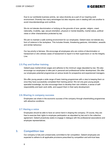

Due to our worldwide business activity, we value diversity as a part of our inspiring work environment. Diversity has many advantages but also requires care in dealing with one another to avoid misunderstandings and conflicts.

We do not tolerate discrimination or bullying on the grounds of race, gender, religion, creed, nationality, invalidity, age, sexual orientation, physical or mental disability, marital status, political views or other characteristics protected by law.

We aim to maintain a safe working environment for our employees. Geberit does not tolerate any form of violence in the workplace. This includes threats, threatening gestures, intimidation, assaults and similar behaviour.

Our top priority is fairness. We encourage all employees who are victims of discrimination or harassment or who witness cases of harassment to report it to their supervisors or via the Integrity Line.

# **2.5. Pay and further training**

Geberit pays market-driven wages and adheres to the minimum wage stipulated by law. We also encourage our employees to take part in personal and professional further development. We offer our employees potential programmes at various levels for prospective and experienced managers.

We offer young people a wide range of basic training programmes with a view to keeping them on once they have successfully completed their training period. We not only give young people specialist knowledge, but also encourage them to develop their own initiative, a sense of selfresponsibility and team work skills, and support them in their early development.

## **2.6. Sharing in company success**

Employees can share in the economic success of the company through shareholding programmes with attractive conditions.

## **2.7. Having a voice**

Employees should be able to have an active hand in shaping the company. Of course, they are free to exercise their rights to employee participation as stipulated by law and in the collective agreement. Geberit proactively seeks to engage in dialogue with the professional associations and employee representatives.

# **3. Competition law**

Our company is fully and unreservedly committed to fair competition. Geberit employees are expected to adhere to all applicable provisions prescribed by competition and anti-trust laws.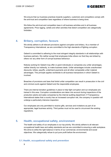

We ensure that our business practices towards suppliers, customers and competitors comply with the anti-trust and competition laws regardless of where business is being done.

We follow the anti-trust and competition laws in all business activities and in all business agreements. Price rigging, cartels and other activities that distort competition are categorically forbidden.

# **4. Bribery, corruption, favours**

We strictly adhere to all relevant provisions against corruption and bribery. As a member of Transparency International, we are committed to the high standards of fighting corruption.

Geberit is committed to adhering to the most stringent integrity standards in all relationships with business partners. We neither accept that employees bribe others nor that they are bribed by others nor any other form of corrupt business behaviour.

Nobody working for Geberit may offer or grant individuals or companies any unfair advantages, neither directly nor indirectly, to make business deals. Unfair advantages include unauthorised discounts, bribes, payoffs, underhand payments and all other comparable unfair material advantages. This principle applies worldwide to all business transactions in which Geberit is involved.

Breaches of provisions and laws that forbid unfair competition can result in prosecution in the civil and criminal courts against Geberit and the responsible employees.

There are internal donation guidelines in place to help fight corruption and our employees are trained in this area. Corruption considerations are taken into account during inspections of the production plants and sales companies by the internal auditing department. If Transparency International states that a country has an increased corruption risk, the company in question will undergo a particularly intensive inspection.

Our employees are only permitted to receive gifts, services and invitations as part of an appropriate, legal business activity. Third parties must not be used to circumvent the existing regulations.

# **5. Health, occupational safety, environment**

The health and safety of our employees is our top priority. We strictly adhere to all relevant occupational health laws and safety standards and we are committed to ensuring a safe workplace. We strive to strike the right balance in terms of our commercial, environmental and social objectives. We categorically refuse to put pure profit before the environment.

# **5.1. Health, occupational safety and prevention**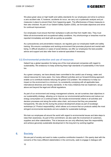

We place great value on high health and safety standards for our employees and strive to achieve a zero accident rate. If, however, accidents do occur, we carry out a systematic analysis and put measures in place to prevent them from happening again. The effectiveness of these measures is then also checked. As part of our Geberit Safety System (GSS), we formulate objectives and strive for continual improvement.

Our employees must ensure that their workplace is safe and free from health risks. They must follow all environmental and occupational safety conditions. Any shortcomings or breaches must be reported immediately and dealt with as quickly as possible.

As a precautionary and preventative measure, we regularly give our employees health and safety training. We ensure a workplace and working environment that promotes physical and mental wellbeing. In difficult situations or cases of social distress, we offer our employees the best possible advice and support and also refer them to external specialists if necessary.

# **5.2. Environmental protection and use of resources**

Geberit has a global reputation for being one of the most advanced companies with regard to sustainability. We endeavour to keep achieving these high standards of sustainability in the future too.

As a green company, we have already been committed to the careful use of energy, water and natural resources for many years. Our many different activities and our forward-thinking approach enable us to contribute towards reducing the global CO2 problem. We endeavour to keep our impact on the environment to a minimum, by consistently complying with all applicable laws, international directives and industry standards. In the many initiatives that we implement, we go above and beyond the legal and official regulations.

As part of our environment and energy management scheme, we set ourselves clear objectives in our sustainability strategy, allowing us to improve our environmental performance and reduce our energy consumption on a continual basis. We include environmental criteria in all activities and decision processes and along the entire value chain, and ensure that they are presented transparently. We also do this during the product development phase as part of ecodesign workshops (cf. Product responsibility), which allows us to ensure that our products satisfy the most stringent environmental standards and are suitable for sustainable buildings.

We train our employees all around the world with regard to environmental issues and take steps to raise their awareness. As part of this commitment, we also seek the involvement of customers, suppliers and other stakeholders. This is because we can only effectively bear this responsibility and achieve genuinely sustainable development in the long term by working together.

# **6. Society**

We are part of society and want to make a positive contribution towards it. We openly deal with the concerns of the many different stakeholders in the community, seek to engage in dialogue with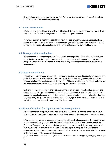

them and take a proactive approach to conflict. As the leading company in this industry, we take our function as a role model very seriously.

# **6.1. Local environment**

We think it is important to make positive contributions to the communities in which we are active by supporting cultural and sporting activities and social enterprise schemes.

We create economic, health and social benefits in our local environments. We respect the local conventions and customs and seek to engage in dialogue with the community. We also take local environmental issues into consideration and look for solutions if there are problem areas.

# **6.2. Dialogue with stakeholders**

We endeavour to engage in open, fair dialogue and exchange information with our stakeholders (including investors, the media, regulatory authorities, governments) in accordance with our company values. For us, it is essential that we build long-term relationships and trust with these stakeholders.

# **6.3. Social commitment**

We believe that we are socially committed to making a sustainable contribution to improving quality of life. We want our social projects to help the people in the developing regions of the world get access to better basic sanitary care and knowledge. This ensures that they gain important tools for life and also makes a contribution towards fulfilling the UN millennium goals.

Geberit not only supplies funds and materials for the social projects – we also plan, manage and coordinate the entire project with our own employees and trainees. In addition, we offer specific support to organisations and projects that tackle the issues of water, hygiene and sanitary facilities (e.g. Helvetas). To give our employees the chance to engage in these social schemes, we offer a volunteering programme and a social project with trainees.

# **6.4. Code of Conduct for suppliers and business partners**

As an international company, we see it as our duty to incorporate our ethical principles into our relationships with business partners too – especially suppliers, subcontractors and sales partners.

What we expect from our employees is also the basis for our business partners. Our suppliers are required to consistently comply with the Geberit principles set forth in the Code of Conduct for Suppliers. They must maintain records that prove their compliance with these requirements and they must be able to provide these records at any time upon our request. We consider noncompliance from a supplier to be a serious breach of the contractual agreements, which may result in the termination of the business relationship.

(http://www.geberit.com/media/local\_media/publikationen/allgemein/Supplier\_Code\_of\_Conduct.pd f)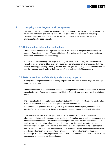

# **7. Integrity – employees and companies**

Fairness, honesty and integrity are key components of our corporate culture. They determine how we act on a daily basis and how we deal with each other and our stakeholders (including customers, suppliers, the public). In this sense, we contribute to society and encourage our employees to set a good example.

# **7.1. Using modern information technology**

Our employees worldwide are required to adhere to the Geberit Group guidelines when using modern information technology. These guidelines define a clear and binding framework of what is appropriate use of information technology.

Social media has opened up new ways of working with customers, colleagues and the outside world. For us, it is important that every employee is personally responsible for ensuring that they use this media appropriately. These guidelines therefore give our employees recommendations on how they can use social media to their own benefit and for the good of the company.

# **7.2. Data protection, confidentiality and company property**

We require our employees to treat company property with care and to protect it against damage. destruction and theft.

Geberit is dedicated to data protection and has adopted principles that must be adhered to without exception for every form of data processing within the Geberit Group and when working with third parties.

The personal data of our employees is treated with the utmost confidentiality and we strictly adhere to the data protection regulations that apply in the relevant countries.

The processing of personal data in any form (e.g. information on employees, customers and suppliers) must be carried out in line with the data protection laws and the Geberit principles.

Confidential information in any shape or form must be handled with care. All confidential information, including technical, commercial and legal information, as well as business secrets are important company assets. They warrant the same protection as all physical commodities. Our employees must ensure that information of this nature is not disclosed to unauthorised persons inside or outside the company. They must also ensure that this information remains confidential to third parties, such as customers and suppliers. Confidential information includes but is not limited to technical information about products and processes, customer information and business relationships with customers, unpublished profitability reports and other financial reports, as well as cost, price, marketing and service strategies.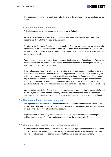

This obligation will continue to apply even after the end of the employment for an indefinite period of time.

# **7.3. Conflicts of interest, donations**

All business must always be carried out in the interest of Geberit.

As Geberit employees, we must avoid situations in which our personal interests conflict with or appear to conflict with the interests of the company.

Activities of our family and friends can lead to conflicts of interest. We should not put ourselves in situations in which our personal or family interests can conflict with the interests of Geberit. We must not misuse our employment at Geberit to gain unfair personal advantages or advantages for our family and friends.

Our employees are required not to do any business that leads to a conflict of interest. They are not permitted to take on any external employment, do business or invest in anything that adversely affects their obligations to the company.

Third parties, regardless of whether it is an individual or a company, are not permitted to benefit unfairly from their business relationship with us. Employees are also forbidden to accept or grant unfair advantages as part of business relationships with third parties. Regardless of the amount, employees are not permitted to accept or give monetary or non-monetary gifts that could raise doubts about the personal integrity or independence of Geberit. This is based on the donation guidelines that are binding for all employees (see also donation guidelines on the Geberit Intranet).

Many actual or potential conflicts of interest can be resolved in a manner that is acceptable for both the employees concerned and the company. Should a conflict of interest arise, the employee concerned should report it to his/her line manager so that an appropriate solution can be found.

# **7.4. Representation of interests, lobbying**

The representation of interests at Geberit complies with local laws and follows the principles of honesty, completeness, respect, accuracy of information and transparency. Our lobbying activities are subject to a strict internal monitoring procedure.

Representatives of external agencies or associations must base their activities regarding the political representation of interests on the same principles that also apply to Geberit.

## **7.5. Communication, media contacts, investor relations**

We communicate openly and honestly. Our Code of Conduct is publicly accessible on the Internet. For us, it is important that our customers, investors, suppliers and other external partners know how we see ethical business operations and what they can expect from our company.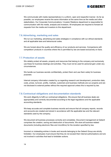

We communicate with media representatives in a uniform, open and respectful manner. As far as possible, our employees receive the same information at the same time as the media and other stakeholders. Our Corporate Communications / Investor Relations department is responsible for communication with the media, analysts and investors. All employees are required to forward all requests from the media and investors to this department.

# **7.6. Advertising, marketing and sales**

We run our marketing, advertising and sales strategies in compliance with our ethical standards and all applicable laws and behavioural codes.

We are honest about the quality and efficiency of our products and services. Comparisons with competitors' products in countries where this is permitted by law are based exclusively on facts.

## **7.7. Protection of assets**

We reliably protect all assets, property and resources that belong to the company and exclusively use these for business dealings and activities. They must not be used for personal gain under any circumstances.

We handle our business secrets confidentially, protect them and use them solely for business purposes.

Internal company information created by us regarding research and development, production data, costs, prices, turnover, profits, markets, customers and business methods are our property and are not disclosed to external parties without the required approval unless this is required by law.

# **7.8. Contractual obligations and documentation standards**

We work diligently to fulfil our contractual obligations. We ensure that all business deals are appropriately and correctly documented according to the legal regulations and the applicable accounting standards.

We keep accurate and complete business records and ensure that all company reports, records and accounts are created and stored in accordance with the applicable law and the relevant standards used by the company.

We document all business processes correctly and completely. Document management at Geberit comprises the creation, saving and destruction of documents. We store all business-related documents (including electronic files and microfilms) for the duration specified by law.

Incorrect or misleading entries in books and records belonging to the Geberit Group are strictly forbidden. Our employees must ensure that they do not exceed their internal authorisations and are not involved in activities that lead to forbidden actions.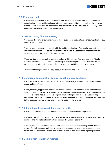

# **7.9. Fraud and theft**

We ensure that all cases of fraud, embezzlement and theft associated with our company are immediately reported and investigated internally (supervisor, HR manager or Integrity Line) and that the people concerned are prosecuted and removed from the workplace, if necessary. Even suspected cases must be reported immediately.

# **7.10. Insider trading / Insider dealing**

We respect the rights of our employees to make business investments and encourage them to buy shares in the company.

All employees are required to comply with the insider trading laws. Our employees are forbidden to use confidential information as the basis for trading shares in Geberit or another company for personal gain or to the benefit of another person.

We do not disclose important, private information to third parties. This also applies to friends, relatives, customers and suppliers. If an employee receives important, private information, he/she may not use this information to trade shares or generate profit from it in any other way.

Breaches of these principles will be prosecuted in the civil and criminal courts.

### **7.11. Donations, sponsorship, political donations and positions**

We do not make any donations to political parties, political organisations or to individuals who occupy political offices.

We do, however, support non-political institutions – in the social sector or in the environmental protection sector, for example – with monetary and non-monetary donations to an appropriate and reasonable extent. Above all, our aid projects focus on the principle of "helping others help themselves": we make our materials available to those in need and teach them what we know. We do this because we want to help improve their situation in the long term.

## **7.12. International trade restrictions and boycotts**

We fully adhere to the bans and requirements of all international trade regulations.

We respect the restrictions and boycotts regarding trade on the world market enforced by various countries and international organisations such as the United Nations (UN).

All employees must be familiar with the applicable local and international regulations that are relevant for their business activities. In case of doubt, our employees are encouraged to seek advice from the responsible export and customs expert or from the internal legal department.

## **7.13. Dealing with totalitarian regimes**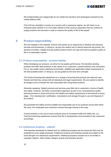

We fundamentally and categorically do not violate the sanctions and embargoes imposed by the United Nations (UN).

If the UN has classified a country as a country with a repressive regime, we will check on an individual basis whether it is in the wider interest of that country's population that we continue to supply products and services in order to improve the quality of life of the people.

# **8. Product responsibility**

We use changes in the markets, science and society as an opportunity to develop new products, services and procedures. In doing so, we give the careful use of natural resources top priority. We develop innovative, reliable and top-quality products which we hope will improve people's quality of life in a sustainable manner.

# **8.1. Product responsibility – product liability**

When developing our products, we strive for top-quality performance. We therefore develop products that offer ideal solutions to the needs of our customers, contract partners and consumers. For us, top quality means satisfying functionality, reliability and application safety requirements to the best possible extent. In doing so, we are guided by the zero-error principle.

The Product Development department is in charge of ensuring that products are safe and userfriendly and that they comply with all standards and legal requirements. We are careful to identify all dangers and to evaluate the risks associated with using these products.

Generally speaking, Geberit products and services pose little risk to customers in terms of health and safety. However, we follow a preventative approach as part of our comprehensive quality planning process to check and ensure the healthy and safety requirements of all products at every stage – from development, certification, manufacture and storage through to use and disposal of the product.

We guarantee the safety and the suitable and responsible use of our products across their entire life cycle. Our employees and customers receive thorough training in this area.

If some products or the use of some products pose an increased health and safety risk, our Technical Authoring department ensures that this is transparently communicated to the customers accordingly.

# **8.2. Intellectual property – patents**

The expertise developed by Geberit and our intellectual property are key resources that must be protected by every single employee. Intellectual property and business secrets are subject to the most stringent non-disclosure requirements. Intellectual property includes but is not limited to copyright, patents, utility models, designs, brands and business secrets.